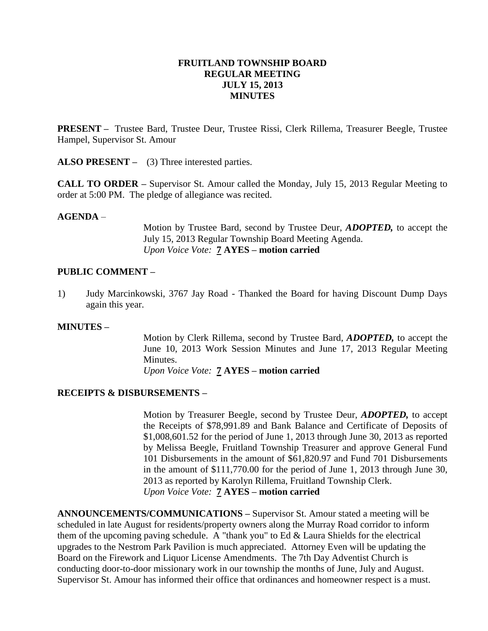#### **FRUITLAND TOWNSHIP BOARD REGULAR MEETING JULY 15, 2013 MINUTES**

**PRESENT –** Trustee Bard, Trustee Deur, Trustee Rissi, Clerk Rillema, Treasurer Beegle, Trustee Hampel, Supervisor St. Amour

**ALSO PRESENT –** (3) Three interested parties.

**CALL TO ORDER –** Supervisor St. Amour called the Monday, July 15, 2013 Regular Meeting to order at 5:00 PM. The pledge of allegiance was recited.

#### **AGENDA** –

Motion by Trustee Bard, second by Trustee Deur, *ADOPTED,* to accept the July 15, 2013 Regular Township Board Meeting Agenda. *Upon Voice Vote:* **7 AYES – motion carried**

#### **PUBLIC COMMENT –**

1) Judy Marcinkowski, 3767 Jay Road - Thanked the Board for having Discount Dump Days again this year.

#### **MINUTES –**

Motion by Clerk Rillema, second by Trustee Bard, *ADOPTED,* to accept the June 10, 2013 Work Session Minutes and June 17, 2013 Regular Meeting Minutes.

*Upon Voice Vote:* **7 AYES – motion carried**

### **RECEIPTS & DISBURSEMENTS –**

Motion by Treasurer Beegle, second by Trustee Deur, *ADOPTED,* to accept the Receipts of \$78,991.89 and Bank Balance and Certificate of Deposits of \$1,008,601.52 for the period of June 1, 2013 through June 30, 2013 as reported by Melissa Beegle, Fruitland Township Treasurer and approve General Fund 101 Disbursements in the amount of \$61,820.97 and Fund 701 Disbursements in the amount of \$111,770.00 for the period of June 1, 2013 through June 30, 2013 as reported by Karolyn Rillema, Fruitland Township Clerk. *Upon Voice Vote:* **7 AYES – motion carried**

**ANNOUNCEMENTS/COMMUNICATIONS –** Supervisor St. Amour stated a meeting will be scheduled in late August for residents/property owners along the Murray Road corridor to inform them of the upcoming paving schedule. A "thank you" to Ed & Laura Shields for the electrical upgrades to the Nestrom Park Pavilion is much appreciated. Attorney Even will be updating the Board on the Firework and Liquor License Amendments. The 7th Day Adventist Church is conducting door-to-door missionary work in our township the months of June, July and August. Supervisor St. Amour has informed their office that ordinances and homeowner respect is a must.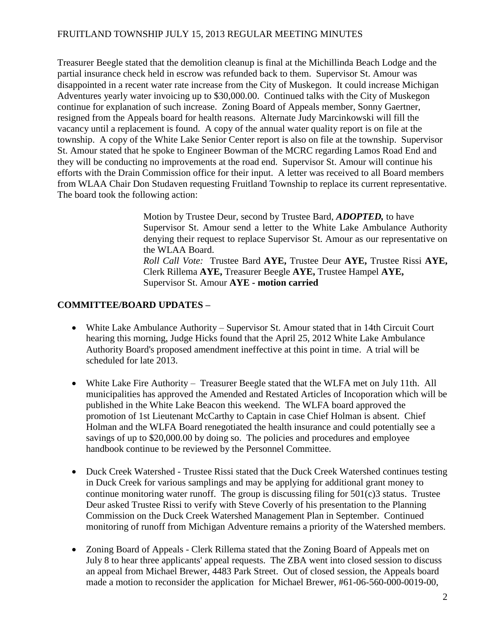## FRUITLAND TOWNSHIP JULY 15, 2013 REGULAR MEETING MINUTES

Treasurer Beegle stated that the demolition cleanup is final at the Michillinda Beach Lodge and the partial insurance check held in escrow was refunded back to them. Supervisor St. Amour was disappointed in a recent water rate increase from the City of Muskegon. It could increase Michigan Adventures yearly water invoicing up to \$30,000.00. Continued talks with the City of Muskegon continue for explanation of such increase. Zoning Board of Appeals member, Sonny Gaertner, resigned from the Appeals board for health reasons. Alternate Judy Marcinkowski will fill the vacancy until a replacement is found. A copy of the annual water quality report is on file at the township. A copy of the White Lake Senior Center report is also on file at the township. Supervisor St. Amour stated that he spoke to Engineer Bowman of the MCRC regarding Lamos Road End and they will be conducting no improvements at the road end. Supervisor St. Amour will continue his efforts with the Drain Commission office for their input. A letter was received to all Board members from WLAA Chair Don Studaven requesting Fruitland Township to replace its current representative. The board took the following action:

> Motion by Trustee Deur, second by Trustee Bard, *ADOPTED,* to have Supervisor St. Amour send a letter to the White Lake Ambulance Authority denying their request to replace Supervisor St. Amour as our representative on the WLAA Board. *Roll Call Vote:* Trustee Bard **AYE,** Trustee Deur **AYE,** Trustee Rissi **AYE,**  Clerk Rillema **AYE,** Treasurer Beegle **AYE,** Trustee Hampel **AYE,** Supervisor St. Amour **AYE - motion carried**

### **COMMITTEE/BOARD UPDATES –**

- White Lake Ambulance Authority Supervisor St. Amour stated that in 14th Circuit Court hearing this morning, Judge Hicks found that the April 25, 2012 White Lake Ambulance Authority Board's proposed amendment ineffective at this point in time. A trial will be scheduled for late 2013.
- White Lake Fire Authority Treasurer Beegle stated that the WLFA met on July 11th. All municipalities has approved the Amended and Restated Articles of Incoporation which will be published in the White Lake Beacon this weekend. The WLFA board approved the promotion of 1st Lieutenant McCarthy to Captain in case Chief Holman is absent. Chief Holman and the WLFA Board renegotiated the health insurance and could potentially see a savings of up to \$20,000.00 by doing so. The policies and procedures and employee handbook continue to be reviewed by the Personnel Committee.
- Duck Creek Watershed Trustee Rissi stated that the Duck Creek Watershed continues testing in Duck Creek for various samplings and may be applying for additional grant money to continue monitoring water runoff. The group is discussing filing for  $501(c)3$  status. Trustee Deur asked Trustee Rissi to verify with Steve Coverly of his presentation to the Planning Commission on the Duck Creek Watershed Management Plan in September. Continued monitoring of runoff from Michigan Adventure remains a priority of the Watershed members.
- Zoning Board of Appeals Clerk Rillema stated that the Zoning Board of Appeals met on July 8 to hear three applicants' appeal requests. The ZBA went into closed session to discuss an appeal from Michael Brewer, 4483 Park Street. Out of closed session, the Appeals board made a motion to reconsider the application for Michael Brewer, #61-06-560-000-0019-00,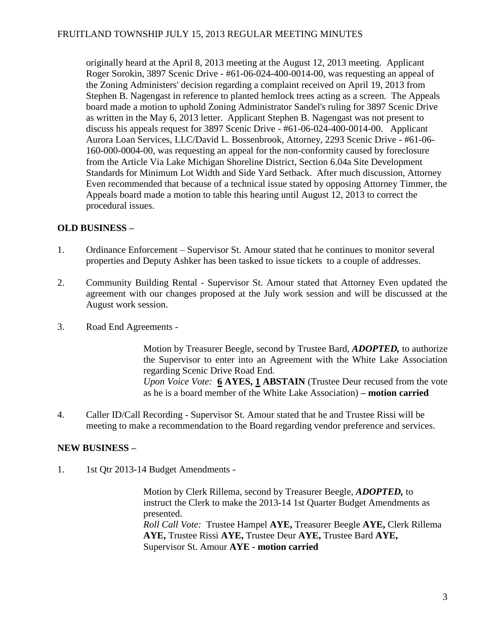originally heard at the April 8, 2013 meeting at the August 12, 2013 meeting. Applicant Roger Sorokin, 3897 Scenic Drive - #61-06-024-400-0014-00, was requesting an appeal of the Zoning Administers' decision regarding a complaint received on April 19, 2013 from Stephen B. Nagengast in reference to planted hemlock trees acting as a screen. The Appeals board made a motion to uphold Zoning Administrator Sandel's ruling for 3897 Scenic Drive as written in the May 6, 2013 letter. Applicant Stephen B. Nagengast was not present to discuss his appeals request for 3897 Scenic Drive - #61-06-024-400-0014-00. Applicant Aurora Loan Services, LLC/David L. Bossenbrook, Attorney, 2293 Scenic Drive - #61-06- 160-000-0004-00, was requesting an appeal for the non-conformity caused by foreclosure from the Article Via Lake Michigan Shoreline District, Section 6.04a Site Development Standards for Minimum Lot Width and Side Yard Setback. After much discussion, Attorney Even recommended that because of a technical issue stated by opposing Attorney Timmer, the Appeals board made a motion to table this hearing until August 12, 2013 to correct the procedural issues.

# **OLD BUSINESS –**

- 1. Ordinance Enforcement Supervisor St. Amour stated that he continues to monitor several properties and Deputy Ashker has been tasked to issue tickets to a couple of addresses.
- 2. Community Building Rental Supervisor St. Amour stated that Attorney Even updated the agreement with our changes proposed at the July work session and will be discussed at the August work session.
- 3. Road End Agreements -

Motion by Treasurer Beegle, second by Trustee Bard, *ADOPTED,* to authorize the Supervisor to enter into an Agreement with the White Lake Association regarding Scenic Drive Road End. *Upon Voice Vote:* **6 AYES, 1 ABSTAIN** (Trustee Deur recused from the vote as he is a board member of the White Lake Association) **– motion carried**

4. Caller ID/Call Recording - Supervisor St. Amour stated that he and Trustee Rissi will be meeting to make a recommendation to the Board regarding vendor preference and services.

# **NEW BUSINESS –**

1. 1st Qtr 2013-14 Budget Amendments -

Motion by Clerk Rillema, second by Treasurer Beegle, *ADOPTED,* to instruct the Clerk to make the 2013-14 1st Quarter Budget Amendments as presented. *Roll Call Vote:* Trustee Hampel **AYE,** Treasurer Beegle **AYE,** Clerk Rillema **AYE,** Trustee Rissi **AYE,** Trustee Deur **AYE,** Trustee Bard **AYE,** Supervisor St. Amour **AYE - motion carried**